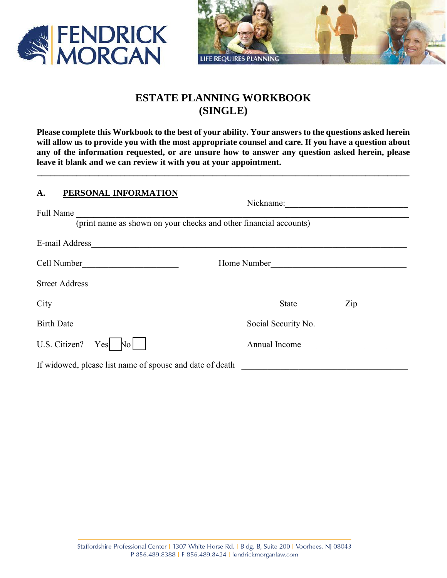



# **ESTATE PLANNING WORKBOOK (SINGLE)**

**Please complete this Workbook to the best of your ability. Your answers to the questions asked herein will allow us to provide you with the most appropriate counsel and care. If you have a question about any of the information requested, or are unsure how to answer any question asked herein, please leave it blank and we can review it with you at your appointment.** 

**\_\_\_\_\_\_\_\_\_\_\_\_\_\_\_\_\_\_\_\_\_\_\_\_\_\_\_\_\_\_\_\_\_\_\_\_\_\_\_\_\_\_\_\_\_\_\_\_\_\_\_\_\_\_\_\_\_\_\_\_\_\_\_\_\_\_\_\_\_\_\_\_\_\_\_\_\_\_\_\_\_\_\_\_\_** 

| A.<br>PERSONAL INFORMATION                                                                                                                                                                                                     |                     |           |  |  |
|--------------------------------------------------------------------------------------------------------------------------------------------------------------------------------------------------------------------------------|---------------------|-----------|--|--|
|                                                                                                                                                                                                                                | Nickname:           |           |  |  |
| Full Name                                                                                                                                                                                                                      |                     |           |  |  |
| (print name as shown on your checks and other financial accounts)                                                                                                                                                              |                     |           |  |  |
| E-mail Address and the contract of the contract of the contract of the contract of the contract of the contract of the contract of the contract of the contract of the contract of the contract of the contract of the contrac |                     |           |  |  |
| Cell Number                                                                                                                                                                                                                    | Home Number         |           |  |  |
| Street Address                                                                                                                                                                                                                 |                     |           |  |  |
|                                                                                                                                                                                                                                |                     | State Zip |  |  |
| Birth Date                                                                                                                                                                                                                     | Social Security No. |           |  |  |
| U.S. Citizen? $Yes$ No                                                                                                                                                                                                         | Annual Income       |           |  |  |
| If widowed, please list name of spouse and date of death                                                                                                                                                                       |                     |           |  |  |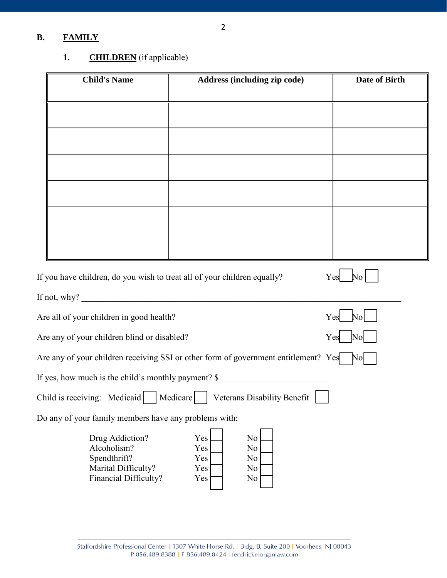## **B. FAMILY**

## 1. **CHILDREN** (if applicable)

| <b>Child's Name</b>                                                                            | <b>Address (including zip code)</b>                                                                           | Date of Birth                  |
|------------------------------------------------------------------------------------------------|---------------------------------------------------------------------------------------------------------------|--------------------------------|
|                                                                                                |                                                                                                               |                                |
|                                                                                                |                                                                                                               |                                |
|                                                                                                |                                                                                                               |                                |
|                                                                                                |                                                                                                               |                                |
|                                                                                                |                                                                                                               |                                |
|                                                                                                |                                                                                                               |                                |
| If you have children, do you wish to treat all of your children equally?                       |                                                                                                               | $Yes$ No                       |
| If not, why? $\qquad \qquad$                                                                   |                                                                                                               |                                |
| Are all of your children in good health?                                                       |                                                                                                               | $\mathbb{N}^{\text{o}}$<br>Yes |
| Are any of your children blind or disabled?                                                    |                                                                                                               | Yes No                         |
|                                                                                                | Are any of your children receiving SSI or other form of government entitlement? $Yes$ No                      |                                |
|                                                                                                | If yes, how much is the child's monthly payment? \$                                                           |                                |
|                                                                                                | Child is receiving: Medicaid Medicare Veterans Disability Benefit                                             |                                |
| Do any of your family members have any problems with:                                          |                                                                                                               |                                |
| Drug Addiction?<br>Alcoholism?<br>Spendthrift?<br>Marital Difficulty?<br>Financial Difficulty? | Yes<br>N <sub>o</sub><br>Yes<br>N <sub>o</sub><br>Yes<br>N <sub>o</sub><br>N <sub>o</sub><br>Yes<br>Yes<br>No |                                |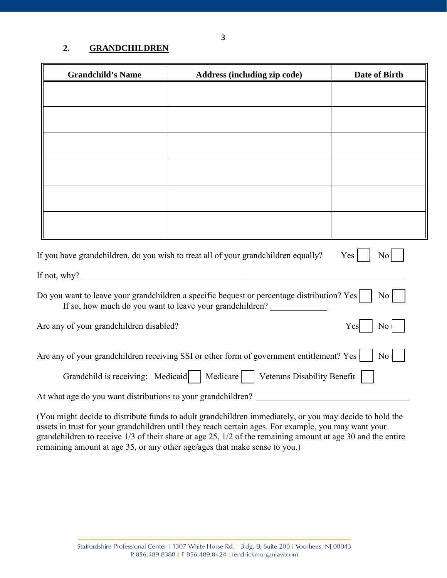### **2. GRANDCHILDREN**

| <b>Grandchild's Name</b>                                                                                                                                        | Address (including zip code) | <b>Date of Birth</b> |  |  |
|-----------------------------------------------------------------------------------------------------------------------------------------------------------------|------------------------------|----------------------|--|--|
|                                                                                                                                                                 |                              |                      |  |  |
|                                                                                                                                                                 |                              |                      |  |  |
|                                                                                                                                                                 |                              |                      |  |  |
|                                                                                                                                                                 |                              |                      |  |  |
|                                                                                                                                                                 |                              |                      |  |  |
|                                                                                                                                                                 |                              |                      |  |  |
|                                                                                                                                                                 |                              |                      |  |  |
| If you have grandchildren, do you wish to treat all of your grandchildren equally?<br>Yes<br>No                                                                 |                              |                      |  |  |
| If not, why?                                                                                                                                                    |                              |                      |  |  |
| Do you want to leave your grandchildren a specific bequest or percentage distribution? $Yes $<br>No<br>If so, how much do you want to leave your grandchildren? |                              |                      |  |  |
| Are any of your grandchildren disabled?<br>No<br>Yes                                                                                                            |                              |                      |  |  |
| Are any of your grandchildren receiving SSI or other form of government entitlement? Yes $\vert$<br>N <sub>o</sub>                                              |                              |                      |  |  |
| Grandchild is receiving: Medicaid   Medicare   Veterans Disability Benefit                                                                                      |                              |                      |  |  |
| At what age do you want distributions to your grandchildren?                                                                                                    |                              |                      |  |  |

(You might decide to distribute funds to adult grandchildren immediately, or you may decide to hold the assets in trust for your grandchildren until they reach certain ages. For example, you may want your grandchildren to receive 1/3 of their share at age 25, 1/2 of the remaining amount at age 30 and the entire remaining amount at age 35, or any other age/ages that make sense to you.)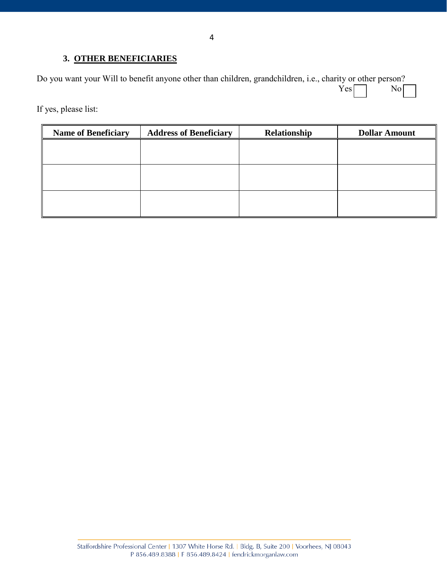#### **3. OTHER BENEFICIARIES**

Do you want your Will to benefit anyone other than children, grandchildren, i.e., charity or other person?<br>
Yes  $Yes \frown$  No  $\frown$ 

If yes, please list:

| <b>Name of Beneficiary</b> | <b>Address of Beneficiary</b> | Relationship | <b>Dollar Amount</b> |
|----------------------------|-------------------------------|--------------|----------------------|
|                            |                               |              |                      |
|                            |                               |              |                      |
|                            |                               |              |                      |
|                            |                               |              |                      |
|                            |                               |              |                      |
|                            |                               |              |                      |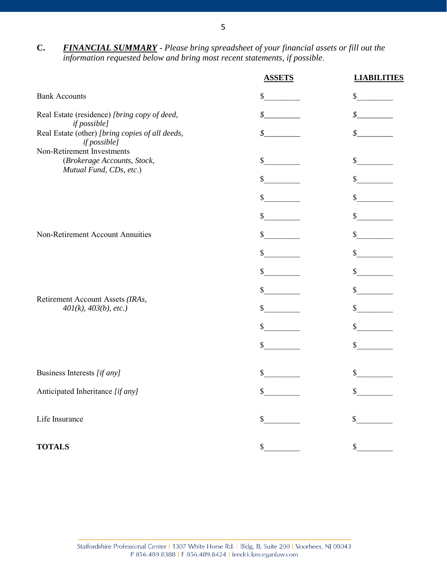**C.** *FINANCIAL SUMMARY* - *Please bring spreadsheet of your financial assets or fill out the information requested below and bring most recent statements, if possible*.

|                                                                 | <b>ASSETS</b> | <b>LIABILITIES</b> |
|-----------------------------------------------------------------|---------------|--------------------|
| <b>Bank Accounts</b>                                            | \$            | \$                 |
| Real Estate (residence) [bring copy of deed,<br>if possible]    | \$            | \$                 |
| Real Estate (other) [bring copies of all deeds,<br>if possible] | \$            | \$                 |
| Non-Retirement Investments                                      |               |                    |
| (Brokerage Accounts, Stock,<br>Mutual Fund, CDs, etc.)          | \$            | $\mathbb{S}$       |
|                                                                 | $\mathbb{S}$  | $\mathbb{S}$       |
|                                                                 | \$            | $\mathbb{S}$       |
|                                                                 | $\mathbb{S}$  | $\mathbb{S}$       |
| Non-Retirement Account Annuities                                | \$            | \$                 |
|                                                                 | \$            | $\mathbb{S}$       |
|                                                                 | \$            | $\mathbb{S}$       |
|                                                                 | \$            | \$                 |
| Retirement Account Assets (IRAs,<br>$401(k)$ , $403(b)$ , etc.) | \$            | $\mathbb{S}$       |
|                                                                 | \$            | \$                 |
|                                                                 | \$            | \$                 |
| Business Interests [if any]                                     | \$            |                    |
| Anticipated Inheritance [if any]                                | \$            | \$                 |
| Life Insurance                                                  | \$            | \$                 |
| <b>TOTALS</b>                                                   | $\$$          | \$                 |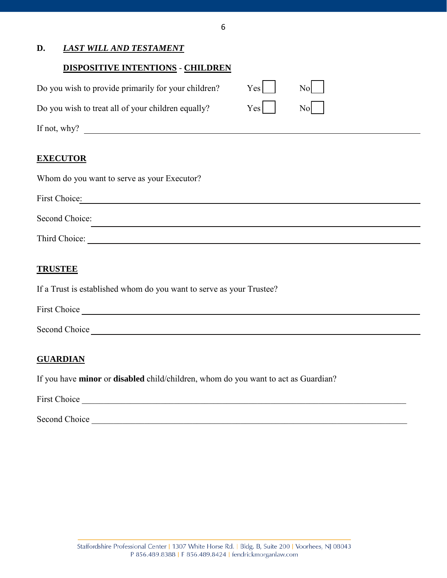#### 6

### **D.** *LAST WILL AND TESTAMENT*

#### **DISPOSITIVE INTENTIONS** - **CHILDREN**

| Do you wish to provide primarily for your children? | Yes                                                                                        | Nol |  |
|-----------------------------------------------------|--------------------------------------------------------------------------------------------|-----|--|
| Do you wish to treat all of your children equally?  | $Yes$ $\begin{array}{ c c c c c } \hline \text{Nol} & \text{Nol} & \text{Nol} \end{array}$ |     |  |
| If not, why?                                        |                                                                                            |     |  |
|                                                     |                                                                                            |     |  |

#### **EXECUTOR**

| Whom do you want to serve as your Executor? |
|---------------------------------------------|
| First Choice:                               |
| Second Choice:                              |
| Third Choice:                               |

### **TRUSTEE**

If a Trust is established whom do you want to serve as your Trustee?

| <b>First Choice</b> |  |  |
|---------------------|--|--|
|                     |  |  |

Second Choice **Second Choice** and **Second** Choice **Second** Choice **Second** Choice **Second** Choice **Second** Choice **Second** Choice **Second** Choice **Second** Choice **Second** Choice **Second** Choice **Second** Choice **Second** Cho

#### **GUARDIAN**

If you have **minor** or **disabled** child/children, whom do you want to act as Guardian?

First Choice **and Contain a set of the Choice** and Choice **and Contain a set of the Choice** and Choice **and Choice** and Choice **and Choice** and Choice **and Choice** and Choice **and Choice** and Choice **and Choice** and Choice

Second Choice \_\_\_\_\_\_\_\_\_\_\_\_\_\_\_\_\_\_\_\_\_\_\_\_\_\_\_\_\_\_\_\_\_\_\_\_\_\_\_\_\_\_\_\_\_\_\_\_\_\_\_\_\_\_\_\_\_\_\_\_\_\_\_\_\_\_\_\_\_\_\_\_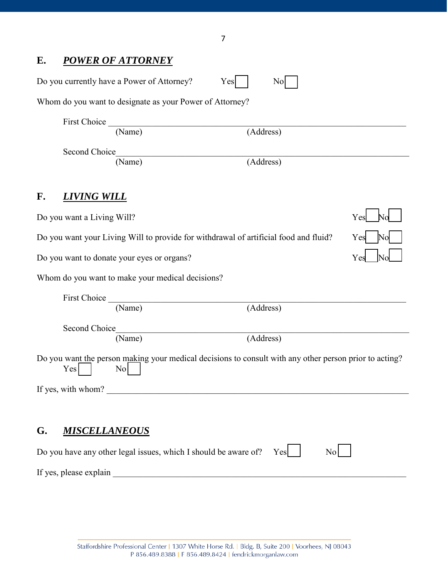# **E.** *POWER OF ATTORNEY*

|    |                            | Do you currently have a Power of Attorney?               | Yes<br>No                                                                                              |     |
|----|----------------------------|----------------------------------------------------------|--------------------------------------------------------------------------------------------------------|-----|
|    |                            | Whom do you want to designate as your Power of Attorney? |                                                                                                        |     |
|    | First Choice               |                                                          |                                                                                                        |     |
|    |                            | (Name)                                                   | (Address)                                                                                              |     |
|    | Second Choice              |                                                          |                                                                                                        |     |
|    |                            | (Name)                                                   | (Address)                                                                                              |     |
| F. | <u>LIVING WILL</u>         |                                                          |                                                                                                        |     |
|    | Do you want a Living Will? |                                                          |                                                                                                        | Yes |
|    |                            |                                                          | Do you want your Living Will to provide for withdrawal of artificial food and fluid?                   | Yes |
|    |                            | Do you want to donate your eyes or organs?               |                                                                                                        | Ye: |
|    |                            | Whom do you want to make your medical decisions?         |                                                                                                        |     |
|    | First Choice               |                                                          |                                                                                                        |     |
|    |                            | (Name)                                                   | (Address)                                                                                              |     |
|    | Second Choice              |                                                          |                                                                                                        |     |
|    |                            | (Name)                                                   | (Address)                                                                                              |     |
|    | Yes                        | No                                                       | Do you want the person making your medical decisions to consult with any other person prior to acting? |     |
|    | If yes, with whom?         |                                                          |                                                                                                        |     |
|    |                            |                                                          |                                                                                                        |     |
| G. | <b>MISCELLANEOUS</b>       |                                                          |                                                                                                        |     |
|    |                            |                                                          | Do you have any other legal issues, which I should be aware of?<br>$\overline{N_{0}}$<br>Yes           |     |
|    | If yes, please explain     |                                                          |                                                                                                        |     |

7